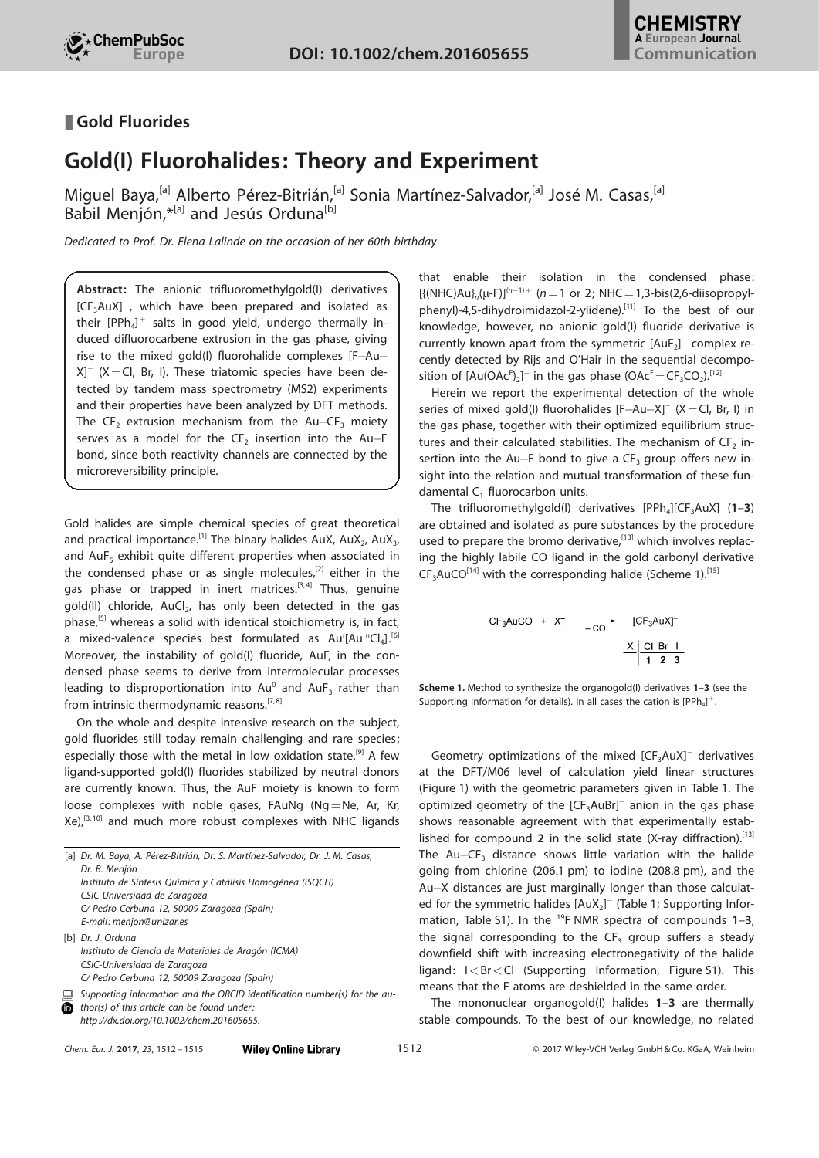

## Gold Fluorides

## Gold(I) Fluorohalides: Theory and Experiment

Miguel Baya,<sup>[a]</sup> [Alberto](http://orcid.org/0000-0003-2260-676X) Pérez-Bitrián,<sup>[a]</sup> Sonia Martínez-Salvador,<sup>[a]</sup> José M. [Casas,](http://orcid.org/0000-0003-0341-7699)<sup>[a]</sup> [Babil](http://orcid.org/0000-0001-9045-5102) Menjón, \*<sup>[a]</sup> and Jesús Orduna<sup>[b]</sup>

Dedicated to Prof. Dr. Elena Lalinde on the occasion of her 60th birthday

Abstract: The anionic trifluoromethylgold(I) derivatives  $[CF<sub>3</sub>AuX]<sup>-</sup>$ , which have been prepared and isolated as their  $[PPh_4]^+$  salts in good yield, undergo thermally induced difluorocarbene extrusion in the gas phase, giving rise to the mixed gold(I) fluorohalide complexes  $[F-Au X$ <sup>-</sup> (X = Cl, Br, I). These triatomic species have been detected by tandem mass spectrometry (MS2) experiments and their properties have been analyzed by DFT methods. The CF<sub>2</sub> extrusion mechanism from the Au-CF<sub>3</sub> moiety serves as a model for the CF<sub>2</sub> insertion into the Au-F bond, since both reactivity channels are connected by the microreversibility principle.

Gold halides are simple chemical species of great theoretical and practical importance.<sup>[1]</sup> The binary halides AuX, AuX<sub>2</sub>, AuX<sub>3</sub>, and AuF $<sub>5</sub>$  exhibit quite different properties when associated in</sub> the condensed phase or as single molecules, $[2]$  either in the gas phase or trapped in inert matrices.<sup>[3,4]</sup> Thus, genuine gold(II) chloride, AuCl<sub>2</sub>, has only been detected in the gas phase,[5] whereas a solid with identical stoichiometry is, in fact, a mixed-valence species best formulated as Au'[Au'''Cl<sub>4</sub>].<sup>[6]</sup> Moreover, the instability of gold(I) fluoride, AuF, in the condensed phase seems to derive from intermolecular processes leading to disproportionation into  $Au^0$  and  $AuF_3$  rather than from intrinsic thermodynamic reasons.<sup>[7,8]</sup>

On the whole and despite intensive research on the subject, gold fluorides still today remain challenging and rare species; especially those with the metal in low oxidation state.<sup>[9]</sup> A few ligand-supported gold(I) fluorides stabilized by neutral donors are currently known. Thus, the AuF moiety is known to form loose complexes with noble gases, FAuNg (Ng=Ne, Ar, Kr,  $Xe$ ,  $[3, 10]$  and much more robust complexes with NHC ligands

|          | [a] Dr. M. Baya, A. Pérez-Bitrián, Dr. S. Martínez-Salvador, Dr. J. M. Casas,                                                                                         |
|----------|-----------------------------------------------------------------------------------------------------------------------------------------------------------------------|
|          | Dr. B. Menjón                                                                                                                                                         |
|          | Instituto de Síntesis Química y Catálisis Homogénea (iSQCH)                                                                                                           |
|          | CSIC-Universidad de Zaragoza                                                                                                                                          |
|          | C/ Pedro Cerbuna 12, 50009 Zaragoza (Spain)                                                                                                                           |
|          | E-mail: menjon@unizar.es                                                                                                                                              |
|          | [b] Dr. J. Orduna                                                                                                                                                     |
|          | Instituto de Ciencia de Materiales de Aragón (ICMA)                                                                                                                   |
|          | CSIC-Universidad de Zaragoza                                                                                                                                          |
|          | C/ Pedro Cerbuna 12, 50009 Zaragoza (Spain)                                                                                                                           |
| 브<br>(id | Supporting information and the ORCID identification number(s) for the au-<br>thor(s) of this article can be found under:<br>http://dx.doi.org/10.1002/chem.201605655. |
|          |                                                                                                                                                                       |

that enable their isolation in the condensed phase:  $[{({NHC})Au}_n(\mu - F)]^{(n-1)+}$  (n = 1 or 2; NHC = 1,3-bis(2,6-diisopropylphenyl)-4,5-dihydroimidazol-2-ylidene).<sup>[11]</sup> To the best of our knowledge, however, no anionic gold(I) fluoride derivative is currently known apart from the symmetric  $[AuF_2]^-$  complex recently detected by Rijs and O'Hair in the sequential decomposition of  $[Au(OAc<sup>F</sup>)<sub>2</sub>]<sup>-</sup>$  in the gas phase  $(OAc<sup>F</sup>=CF<sub>3</sub>CO<sub>2</sub>)<sup>[12]</sup>$ 

Herein we report the experimental detection of the whole series of mixed gold(I) fluorohalides  $[F-Au-X]$ <sup>-</sup> (X = Cl, Br, I) in the gas phase, together with their optimized equilibrium structures and their calculated stabilities. The mechanism of  $CF_2$  insertion into the Au-F bond to give a  $CF_3$  group offers new insight into the relation and mutual transformation of these fundamental  $C_1$  fluorocarbon units.

The trifluoromethylgold(I) derivatives  $[PPh_4][CF_3AuX]$  (1–3) are obtained and isolated as pure substances by the procedure used to prepare the bromo derivative,<sup>[13]</sup> which involves replacing the highly labile CO ligand in the gold carbonyl derivative  $CF<sub>3</sub>AuCO<sup>[14]</sup>$  with the corresponding halide (Scheme 1).<sup>[15]</sup>

$$
CF3AuCO + X- \xrightarrow{-CO} [CF3AuX]-
$$

$$
\xrightarrow{X \xrightarrow{|CI|} \xrightarrow{CI} \xrightarrow{Br} \xrightarrow{I} \xrightarrow{3}
$$

Scheme 1. Method to synthesize the organogold(I) derivatives 1-3 (see the Supporting Information for details). In all cases the cation is  $[PPh_4]^+$ .

Geometry optimizations of the mixed  $[CF<sub>3</sub>AuX]<sup>-</sup>$  derivatives at the DFT/M06 level of calculation yield linear structures (Figure 1) with the geometric parameters given in Table 1. The optimized geometry of the  $[CF<sub>3</sub>AuBr]<sup>-</sup>$  anion in the gas phase shows reasonable agreement with that experimentally established for compound 2 in the solid state (X-ray diffraction). [13] The Au- $CF_3$  distance shows little variation with the halide going from chlorine (206.1 pm) to iodine (208.8 pm), and the Au-X distances are just marginally longer than those calculated for the symmetric halides  $[AuX_2]^-$  (Table 1; Supporting Information, Table S1). In the <sup>19</sup>F NMR spectra of compounds  $1-3$ , the signal corresponding to the  $CF_3$  group suffers a steady downfield shift with increasing electronegativity of the halide ligand:  $I < Br < Cl$  (Supporting Information, Figure S1). This means that the F atoms are deshielded in the same order.

The mononuclear organogold(I) halides 1–3 are thermally stable compounds. To the best of our knowledge, no related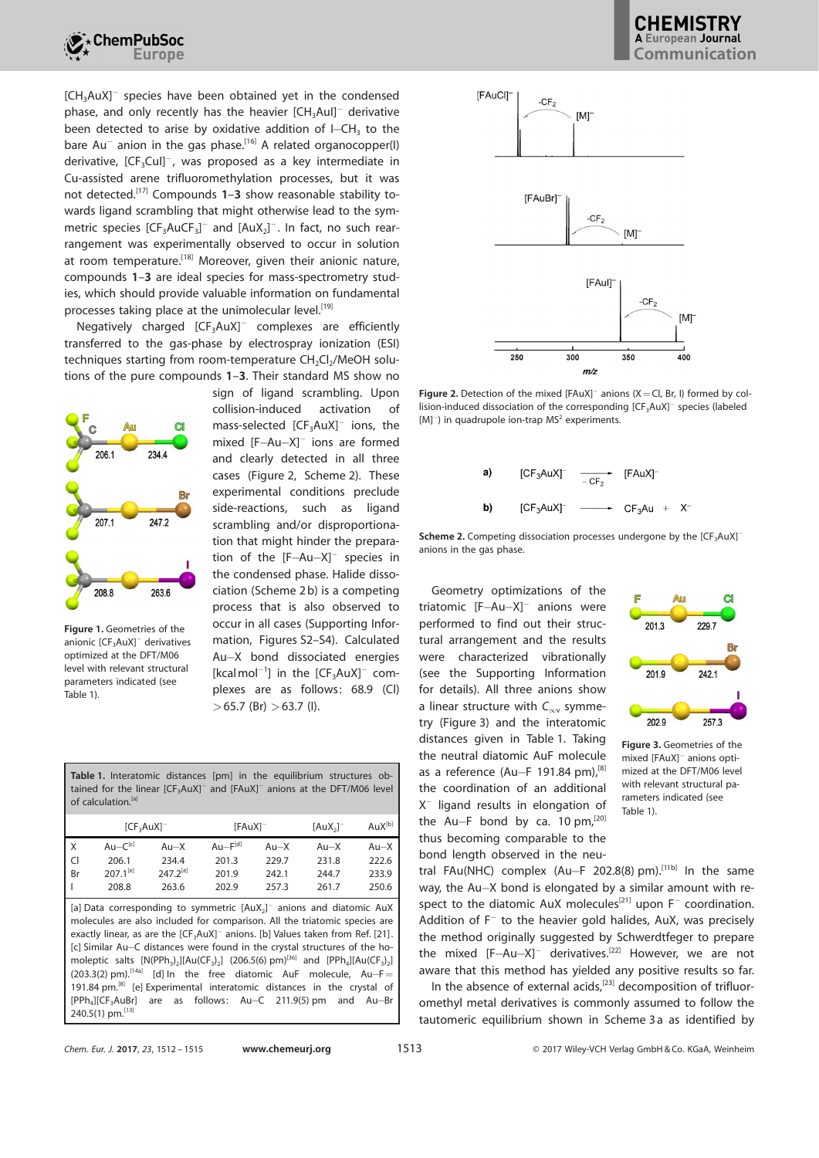

 $[CH<sub>3</sub>AuX]$ <sup>-</sup> species have been obtained yet in the condensed phase, and only recently has the heavier  $[CH_3Au]$ <sup>-</sup> derivative been detected to arise by oxidative addition of I $-CH_3$  to the bare Au<sup>-</sup> anion in the gas phase.<sup>[16]</sup> A related organocopper(I) derivative,  $[CF_3Cu$ ]<sup>-</sup>, was proposed as a key intermediate in Cu-assisted arene trifluoromethylation processes, but it was not detected.<sup>[17]</sup> Compounds  $1-3$  show reasonable stability towards ligand scrambling that might otherwise lead to the symmetric species  $[CF_3AuCF_3]^-$  and  $[AuX_2]^-$ . In fact, no such rearrangement was experimentally observed to occur in solution at room temperature.<sup>[18]</sup> Moreover, given their anionic nature, compounds 1–3 are ideal species for mass-spectrometry studies, which should provide valuable information on fundamental processes taking place at the unimolecular level.<sup>[19]</sup>

Negatively charged  $[CF<sub>3</sub>AuX]$ <sup>-</sup> complexes are efficiently transferred to the gas-phase by electrospray ionization (ESI)  $t$ echniques starting from room-temperature  $CH_2Cl_2/M$ eOH solutions of the pure compounds 1–3. Their standard MS show no



Figure 1. Geometries of the anionic [CF<sub>2</sub>AuX]<sup>-</sup> derivatives optimized at the DFT/M06 level with relevant structural parameters indicated (see Table 1).

sign of ligand scrambling. Upon collision-induced activation of mass-selected  $[CF<sub>3</sub>AuX]$ <sup>-</sup> ions, the mixed [F-Au-X]<sup>-</sup> ions are formed and clearly detected in all three cases (Figure 2, Scheme 2). These experimental conditions preclude side-reactions, such as ligand scrambling and/or disproportionation that might hinder the preparation of the  $[F-Au-X]$ <sup>-</sup> species in the condensed phase. Halide dissociation (Scheme 2 b) is a competing process that is also observed to occur in all cases (Supporting Information, Figures S2–S4). Calculated Au-X bond dissociated energies [kcalmol<sup>-1</sup>] in the  $[CF<sub>3</sub>AuX]<sup>-</sup>$  complexes are as follows: 68.9 (Cl)  $>65.7$  (Br)  $>63.7$  (I).

Table 1. Interatomic distances [pm] in the equilibrium structures obtained for the linear  $[\mathsf{CF}_{3}\mathsf{Aux}]^-$  and  $[\mathsf{FAuX}]^-$  anions at the DFT/M06 level of calculation.<sup>[a]</sup>

| X<br>Au- $C^{[c]}$<br>$Au-F[d]$<br>$Au-X$<br>$Au-X$<br>$Au-X$<br>$\mathsf{C}$<br>206.1<br>234.4<br>201.3<br>229.7<br>231.8<br>222.6<br>$207.1^{[e]}$<br>$247.2^{[e]}$<br>Br<br>201.9<br>242.1<br>233.9<br>244.7<br>208.8<br>263.6<br>257.3<br>250.6<br>202.9<br>261.7<br>[a] Data corresponding to symmetric $[AuX_2]$ anions and diatomic AuX<br>molecules are also included for comparison. All the triatomic species are<br>exactly linear, as are the [CF <sub>3</sub> AuX] <sup>-</sup> anions. [b] Values taken from Ref. [21]. | [CF <sub>3</sub> AuX] |  | $[FAuX]^-$ | $[AuX_2]^-$ | $AuX^{[b]}$ |
|---------------------------------------------------------------------------------------------------------------------------------------------------------------------------------------------------------------------------------------------------------------------------------------------------------------------------------------------------------------------------------------------------------------------------------------------------------------------------------------------------------------------------------------|-----------------------|--|------------|-------------|-------------|
|                                                                                                                                                                                                                                                                                                                                                                                                                                                                                                                                       |                       |  |            |             | $Au-X$      |
|                                                                                                                                                                                                                                                                                                                                                                                                                                                                                                                                       |                       |  |            |             |             |
|                                                                                                                                                                                                                                                                                                                                                                                                                                                                                                                                       |                       |  |            |             |             |
|                                                                                                                                                                                                                                                                                                                                                                                                                                                                                                                                       |                       |  |            |             |             |
| [c] Similar Au-C distances were found in the crystal structures of the ho-<br>moleptic salts $[N(PPh_3)_2][Au(CF_3)_2]$ (206.5(6) pm) <sup>[36]</sup> and $[PPh_4][Au(CF_3)_2]$<br>$(203.3(2)$ pm). <sup>[14a]</sup> [d] ln the free diatomic AuF molecule, Au-F=<br>191.84 pm. <sup>[8]</sup> [e] Experimental interatomic distances in the crystal of<br>[PPh.][CF.AuBr]<br>are as follows: Au-C 211.9(5) pm and Au-Br                                                                                                              |                       |  |            |             |             |



Figure 2. Detection of the mixed [FAuX]<sup>-</sup> anions (X = Cl, Br, I) formed by collision-induced dissociation of the corresponding  $[\text{CF}_3\text{AuX}]^-$  species (labeled  $[M]$ <sup>-</sup>) in quadrupole ion-trap MS<sup>2</sup> experiments.





Geometry optimizations of the triatomic  $[F-Au-X]$ <sup>-</sup> anions were performed to find out their structural arrangement and the results were characterized vibrationally (see the Supporting Information for details). All three anions show a linear structure with  $C_{\infty}$  symmetry (Figure 3) and the interatomic distances given in Table 1. Taking the neutral diatomic AuF molecule as a reference (Au-F 191.84 pm),  $[8]$ the coordination of an additional X @ ligand results in elongation of the Au-F bond by ca. 10 pm,<sup>[20]</sup> thus becoming comparable to the bond length observed in the neu-



Figure 3. Geometries of the mixed [FAuX]<sup>-</sup> anions optimized at the DFT/M06 level with relevant structural parameters indicated (see Table 1).

tral FAu(NHC) complex  $(Au-F 202.8(8) pm)$ .<sup>[11b]</sup> In the same way, the Au-X bond is elongated by a similar amount with respect to the diatomic AuX molecules<sup>[21]</sup> upon  $F^-$  coordination. Addition of  $F^-$  to the heavier gold halides, AuX, was precisely the method originally suggested by Schwerdtfeger to prepare the mixed  $[F-Au-X]$ <sup>-</sup> derivatives.<sup>[22]</sup> However, we are not aware that this method has yielded any positive results so far.

In the absence of external acids, $[23]$  decomposition of trifluoromethyl metal derivatives is commonly assumed to follow the tautomeric equilibrium shown in Scheme 3 a as identified by

240.5(1) pm.<sup>[13]</sup>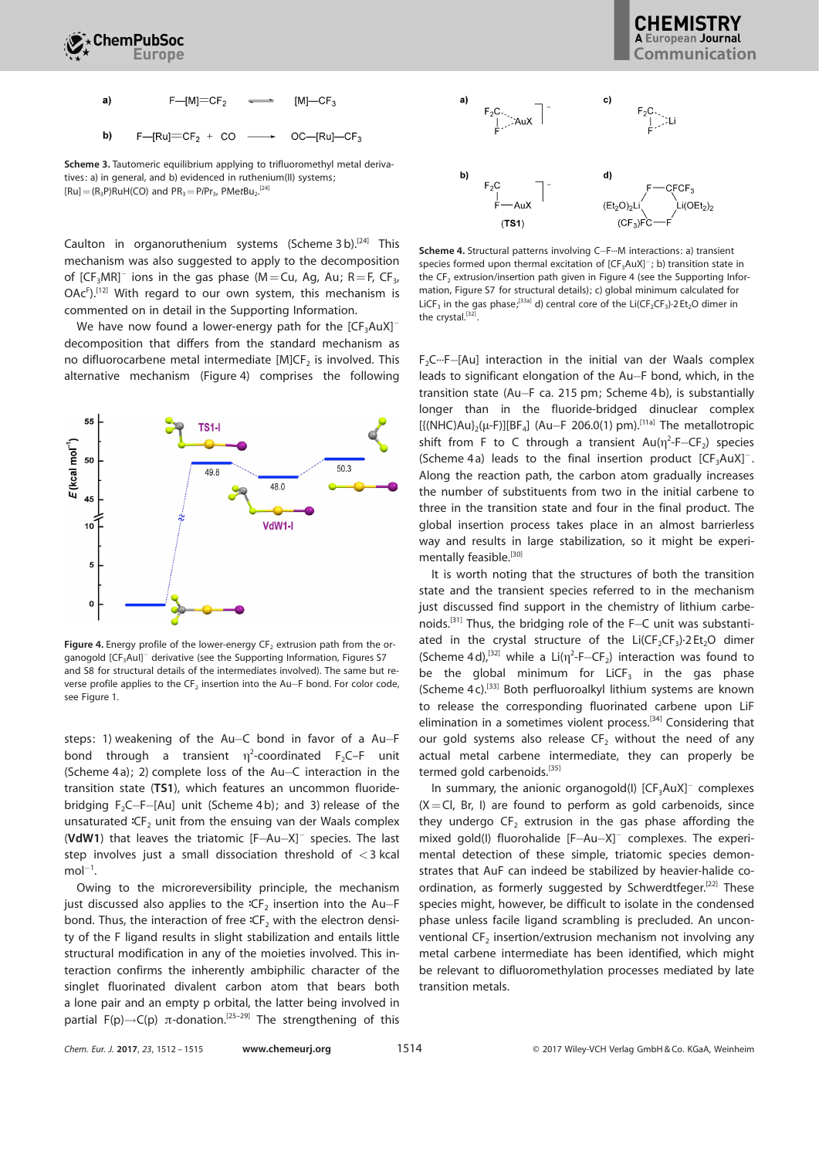



Scheme 3. Tautomeric equilibrium applying to trifluoromethyl metal derivatives: a) in general, and b) evidenced in ruthenium(II) systems;  $[Ru] = (R_3P)RuH(CO)$  and  $PR_3 = PiPr_3$ ,  $PMetBu_2$ .<sup>[24]</sup>

Caulton in organoruthenium systems (Scheme 3b). $^{[24]}$  This mechanism was also suggested to apply to the decomposition of [CF<sub>3</sub>MR]<sup>-</sup> ions in the gas phase (M=Cu, Ag, Au; R=F, CF<sub>3</sub>,  $OAc<sup>F</sup>$ ).<sup>[12]</sup> With regard to our own system, this mechanism is commented on in detail in the Supporting Information.

We have now found a lower-energy path for the  $[CF_3AuX]$ <sup>-</sup> decomposition that differs from the standard mechanism as no difluorocarbene metal intermediate [M]CF<sub>2</sub> is involved. This alternative mechanism (Figure 4) comprises the following



Figure 4. Energy profile of the lower-energy  $CF_2$  extrusion path from the organogold [CF-Aul]<sup>-</sup> derivative (see the Supporting Information, Figures S7 and S8 for structural details of the intermediates involved). The same but reverse profile applies to the  $\textsf{CF}_2$  insertion into the Au $\textsf{-F}$  bond. For color code, see Figure 1.

steps: 1) weakening of the Au-C bond in favor of a Au-F bond through a transient  $\eta^2$ -coordinated F<sub>2</sub>C–F unit (Scheme 4a); 2) complete loss of the Au-C interaction in the transition state (TS1), which features an uncommon fluoridebridging  $F_2C-F-[Au]$  unit (Scheme 4b); and 3) release of the unsaturated  $C\mathcal{F}_2$  unit from the ensuing van der Waals complex (VdW1) that leaves the triatomic  $[F-Au-X]$ <sup>-</sup> species. The last step involves just a small dissociation threshold of <3 kcal  $mol^{-1}$ .

Owing to the microreversibility principle, the mechanism just discussed also applies to the  ${}^1C_2$  insertion into the Au-F bond. Thus, the interaction of free  ${}^tC\mathsf{F}_2$  with the electron density of the F ligand results in slight stabilization and entails little structural modification in any of the moieties involved. This interaction confirms the inherently ambiphilic character of the singlet fluorinated divalent carbon atom that bears both a lone pair and an empty p orbital, the latter being involved in partial  $F(p) \rightarrow C(p)$   $\pi$ -donation.<sup>[25–29]</sup> The strengthening of this



Scheme 4. Structural patterns involving C-F--M interactions: a) transient species formed upon thermal excitation of  $[CF<sub>3</sub>AuX]<sup>-</sup>$ ; b) transition state in the  $CF_2$  extrusion/insertion path given in Figure 4 (see the Supporting Information, Figure S7 for structural details); c) global minimum calculated for LiCF<sub>3</sub> in the gas phase<sup>,[33a]</sup> d) central core of the Li(CF<sub>2</sub>CF<sub>3</sub>) $\cdot$ 2 Et<sub>2</sub>O dimer in the crystal.<sup>[32]</sup>.

F<sub>2</sub>C····F-[Au] interaction in the initial van der Waals complex leads to significant elongation of the Au-F bond, which, in the transition state (Au-F ca. 215 pm; Scheme 4 b), is substantially longer than in the fluoride-bridged dinuclear complex  $[{ {(NHC)Au}_{2}(\mu-F)}][BF_{4}]$  (Au-F 206.0(1) pm).<sup>[11a]</sup> The metallotropic shift from F to C through a transient  $Au(\eta^2-F-CF_2)$  species (Scheme 4a) leads to the final insertion product  $[CF_3AuX]^{-}$ . Along the reaction path, the carbon atom gradually increases the number of substituents from two in the initial carbene to three in the transition state and four in the final product. The global insertion process takes place in an almost barrierless way and results in large stabilization, so it might be experimentally feasible.<sup>[30]</sup>

It is worth noting that the structures of both the transition state and the transient species referred to in the mechanism just discussed find support in the chemistry of lithium carbenoids.<sup>[31]</sup> Thus, the bridging role of the F-C unit was substantiated in the crystal structure of the  $Li(CF_2CF_3)$  $\cdot$ 2Et<sub>2</sub>O dimer (Scheme 4d),<sup>[32]</sup> while a Li( $\eta^2$ -F-CF<sub>2</sub>) interaction was found to be the global minimum for LiCF $_3$  in the gas phase (Scheme 4 c).[33] Both perfluoroalkyl lithium systems are known to release the corresponding fluorinated carbene upon LiF elimination in a sometimes violent process.<sup>[34]</sup> Considering that our gold systems also release  $CF<sub>2</sub>$  without the need of any actual metal carbene intermediate, they can properly be termed gold carbenoids.<sup>[35]</sup>

In summary, the anionic organogold(I)  $[CF<sub>3</sub>AuX]<sup>-</sup>$  complexes  $(X=Cl, Br, I)$  are found to perform as gold carbenoids, since they undergo  $CF_2$  extrusion in the gas phase affording the mixed gold(I) fluorohalide [F-Au-X]<sup>-</sup> complexes. The experimental detection of these simple, triatomic species demonstrates that AuF can indeed be stabilized by heavier-halide coordination, as formerly suggested by Schwerdtfeger.<sup>[22]</sup> These species might, however, be difficult to isolate in the condensed phase unless facile ligand scrambling is precluded. An unconventional  $CF_2$  insertion/extrusion mechanism not involving any metal carbene intermediate has been identified, which might be relevant to difluoromethylation processes mediated by late transition metals.